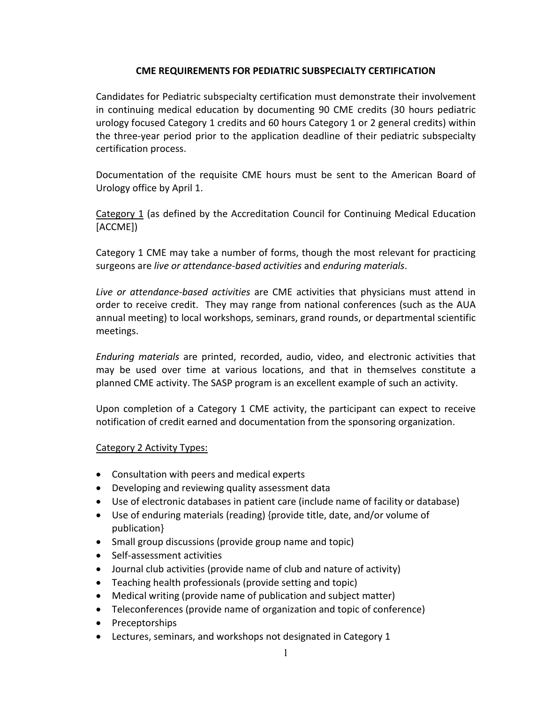## **CME REQUIREMENTS FOR PEDIATRIC SUBSPECIALTY CERTIFICATION**

Candidates for Pediatric subspecialty certification must demonstrate their involvement in continuing medical education by documenting 90 CME credits (30 hours pediatric urology focused Category 1 credits and 60 hours Category 1 or 2 general credits) within the three-year period prior to the application deadline of their pediatric subspecialty certification process.

Documentation of the requisite CME hours must be sent to the American Board of Urology office by April 1.

Category 1 (as defined by the Accreditation Council for Continuing Medical Education [ACCME])

Category 1 CME may take a number of forms, though the most relevant for practicing surgeons are *live or attendance-based activities* and *enduring materials*.

*Live or attendance-based activities* are CME activities that physicians must attend in order to receive credit. They may range from national conferences (such as the AUA annual meeting) to local workshops, seminars, grand rounds, or departmental scientific meetings.

*Enduring materials* are printed, recorded, audio, video, and electronic activities that may be used over time at various locations, and that in themselves constitute a planned CME activity. The SASP program is an excellent example of such an activity.

Upon completion of a Category 1 CME activity, the participant can expect to receive notification of credit earned and documentation from the sponsoring organization.

## Category 2 Activity Types:

- Consultation with peers and medical experts
- Developing and reviewing quality assessment data
- Use of electronic databases in patient care (include name of facility or database)
- Use of enduring materials (reading) {provide title, date, and/or volume of publication}
- Small group discussions (provide group name and topic)
- Self-assessment activities
- Journal club activities (provide name of club and nature of activity)
- Teaching health professionals (provide setting and topic)
- Medical writing (provide name of publication and subject matter)
- Teleconferences (provide name of organization and topic of conference)
- Preceptorships
- Lectures, seminars, and workshops not designated in Category 1